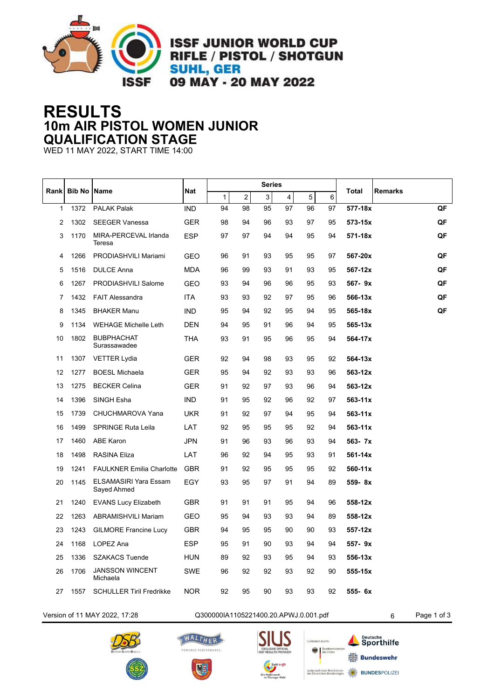

**ISSF JUNIOR WORLD CUP** RIFLE / PISTOL / SHOTGUN **SUHL, GER** 09 MAY - 20 MAY 2022

## **RESULTS 10m AIR PISTOL WOMEN JUNIOR QUALIFICATION STAGE**

WED 11 MAY 2022, START TIME 14:00

|    | Rank<br><b>Bib No   Name</b> |                                             |              |                         |    | Series |    |    |       | <b>Remarks</b> |    |
|----|------------------------------|---------------------------------------------|--------------|-------------------------|----|--------|----|----|-------|----------------|----|
|    |                              | <b>Nat</b>                                  | $\mathbf{1}$ | $\overline{\mathbf{c}}$ | 3  | 4      | 5  | 6  | Total |                |    |
| 1  | 1372                         | <b>PALAK Palak</b>                          | <b>IND</b>   | 94                      | 98 | 95     | 97 | 96 | 97    | 577-18x        | QF |
| 2  | 1302                         | <b>SEEGER Vanessa</b>                       | <b>GER</b>   | 98                      | 94 | 96     | 93 | 97 | 95    | 573-15x        | QF |
| 3  | 1170                         | MIRA-PERCEVAL Irlanda<br>Teresa             | <b>ESP</b>   | 97                      | 97 | 94     | 94 | 95 | 94    | 571-18x        | QF |
| 4  | 1266                         | PRODIASHVILI Mariami                        | GEO          | 96                      | 91 | 93     | 95 | 95 | 97    | 567-20x        | QF |
| 5  | 1516                         | <b>DULCE Anna</b>                           | <b>MDA</b>   | 96                      | 99 | 93     | 91 | 93 | 95    | 567-12x        | QF |
| 6  | 1267                         | PRODIASHVILI Salome                         | <b>GEO</b>   | 93                      | 94 | 96     | 96 | 95 | 93    | $567 - 9x$     | QF |
| 7  | 1432                         | <b>FAIT Alessandra</b>                      | ITA          | 93                      | 93 | 92     | 97 | 95 | 96    | 566-13x        | QF |
| 8  | 1345                         | <b>BHAKER Manu</b>                          | IND          | 95                      | 94 | 92     | 95 | 94 | 95    | 565-18x        | QF |
| 9  | 1134                         | <b>WEHAGE Michelle Leth</b>                 | DEN          | 94                      | 95 | 91     | 96 | 94 | 95    | 565-13x        |    |
| 10 | 1802                         | <b>BUBPHACHAT</b><br>Surassawadee           | THA          | 93                      | 91 | 95     | 96 | 95 | 94    | 564-17x        |    |
| 11 | 1307                         | <b>VETTER Lydia</b>                         | GER          | 92                      | 94 | 98     | 93 | 95 | 92    | 564-13x        |    |
| 12 | 1277                         | <b>BOESL Michaela</b>                       | GER          | 95                      | 94 | 92     | 93 | 93 | 96    | 563-12x        |    |
| 13 | 1275                         | <b>BECKER Celina</b>                        | <b>GER</b>   | 91                      | 92 | 97     | 93 | 96 | 94    | 563-12x        |    |
| 14 | 1396                         | SINGH Esha                                  | IND.         | 91                      | 95 | 92     | 96 | 92 | 97    | $563 - 11x$    |    |
| 15 | 1739                         | CHUCHMAROVA Yana                            | UKR          | 91                      | 92 | 97     | 94 | 95 | 94    | $563 - 11x$    |    |
| 16 | 1499                         | <b>SPRINGE Ruta Leila</b>                   | LAT          | 92                      | 95 | 95     | 95 | 92 | 94    | $563 - 11x$    |    |
| 17 | 1460                         | <b>ABE Karon</b>                            | <b>JPN</b>   | 91                      | 96 | 93     | 96 | 93 | 94    | 563- 7x        |    |
| 18 | 1498                         | <b>RASINA Eliza</b>                         | LAT          | 96                      | 92 | 94     | 95 | 93 | 91    | 561-14x        |    |
| 19 | 1241                         | <b>FAULKNER Emilia Charlotte</b>            | <b>GBR</b>   | 91                      | 92 | 95     | 95 | 95 | 92    | 560-11x        |    |
| 20 | 1145                         | <b>ELSAMASIRI Yara Essam</b><br>Sayed Ahmed | EGY          | 93                      | 95 | 97     | 91 | 94 | 89    | 559-8x         |    |
| 21 | 1240                         | <b>EVANS Lucy Elizabeth</b>                 | GBR          | 91                      | 91 | 91     | 95 | 94 | 96    | 558-12x        |    |
| 22 | 1263                         | ABRAMISHVILI Mariam                         | GEO          | 95                      | 94 | 93     | 93 | 94 | 89    | 558-12x        |    |
| 23 | 1243                         | <b>GILMORE Francine Lucy</b>                | GBR          | 94                      | 95 | 95     | 90 | 90 | 93    | 557-12x        |    |
| 24 | 1168                         | LOPEZ Ana                                   | <b>ESP</b>   | 95                      | 91 | 90     | 93 | 94 | 94    | 557-9x         |    |
| 25 | 1336                         | <b>SZAKACS Tuende</b>                       | HUN          | 89                      | 92 | 93     | 95 | 94 | 93    | 556-13x        |    |
| 26 | 1706                         | <b>JANSSON WINCENT</b><br>Michaela          | <b>SWE</b>   | 96                      | 92 | 92     | 93 | 92 | 90    | 555-15x        |    |
| 27 | 1557                         | <b>SCHULLER Tiril Fredrikke</b>             | NOR.         | 92                      | 95 | 90     | 93 | 93 | 92    | 555- 6x        |    |

Version of 11 MAY 2022, 17:28 Q300000IA1105221400.20.APWJ.0.001.pdf 6 Page 1 of 3









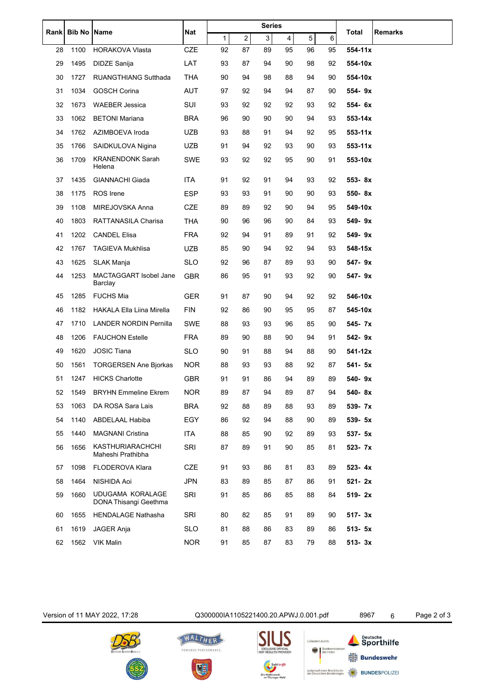|             | <b>Bib No Name</b> |                                           | <b>Nat</b> |    |                  | <b>Series</b> |    |    |    |              |                |
|-------------|--------------------|-------------------------------------------|------------|----|------------------|---------------|----|----|----|--------------|----------------|
| <b>Rank</b> |                    |                                           |            | 1  | $\boldsymbol{2}$ | 3             | 4  | 5  | 6  | <b>Total</b> | <b>Remarks</b> |
| 28          | 1100               | <b>HORAKOVA Vlasta</b>                    | <b>CZE</b> | 92 | 87               | 89            | 95 | 96 | 95 | 554-11x      |                |
| 29          | 1495               | DIDZE Sanija                              | LAT        | 93 | 87               | 94            | 90 | 98 | 92 | 554-10x      |                |
| 30          | 1727               | <b>RUANGTHIANG Sutthada</b>               | <b>THA</b> | 90 | 94               | 98            | 88 | 94 | 90 | 554-10x      |                |
| 31          | 1034               | <b>GOSCH Corina</b>                       | <b>AUT</b> | 97 | 92               | 94            | 94 | 87 | 90 | 554-9x       |                |
| 32          | 1673               | <b>WAEBER Jessica</b>                     | <b>SUI</b> | 93 | 92               | 92            | 92 | 93 | 92 | 554- 6x      |                |
| 33          | 1062               | <b>BETONI Mariana</b>                     | <b>BRA</b> | 96 | 90               | 90            | 90 | 94 | 93 | 553-14x      |                |
| 34          | 1762               | AZIMBOEVA Iroda                           | <b>UZB</b> | 93 | 88               | 91            | 94 | 92 | 95 | $553 - 11x$  |                |
| 35          | 1766               | SAIDKULOVA Nigina                         | UZB        | 91 | 94               | 92            | 93 | 90 | 93 | $553 - 11x$  |                |
| 36          | 1709               | <b>KRANENDONK Sarah</b><br>Helena         | <b>SWE</b> | 93 | 92               | 92            | 95 | 90 | 91 | 553-10x      |                |
| 37          | 1435               | <b>GIANNACHI Giada</b>                    | ITA        | 91 | 92               | 91            | 94 | 93 | 92 | 553-8x       |                |
| 38          | 1175               | <b>ROS</b> Irene                          | ESP        | 93 | 93               | 91            | 90 | 90 | 93 | 550-8x       |                |
| 39          | 1108               | MIREJOVSKA Anna                           | <b>CZE</b> | 89 | 89               | 92            | 90 | 94 | 95 | 549-10x      |                |
| 40          | 1803               | RATTANASILA Charisa                       | <b>THA</b> | 90 | 96               | 96            | 90 | 84 | 93 | 549-9x       |                |
| 41          | 1202               | <b>CANDEL Elisa</b>                       | <b>FRA</b> | 92 | 94               | 91            | 89 | 91 | 92 | 549-9x       |                |
| 42          | 1767               | <b>TAGIEVA Mukhlisa</b>                   | <b>UZB</b> | 85 | 90               | 94            | 92 | 94 | 93 | 548-15x      |                |
| 43          | 1625               | SLAK Manja                                | <b>SLO</b> | 92 | 96               | 87            | 89 | 93 | 90 | 547-9x       |                |
| 44          | 1253               | MACTAGGART Isobel Jane<br>Barclay         | GBR        | 86 | 95               | 91            | 93 | 92 | 90 | 547-9x       |                |
| 45          | 1285               | <b>FUCHS Mia</b>                          | GER        | 91 | 87               | 90            | 94 | 92 | 92 | 546-10x      |                |
| 46          | 1182               | <b>HAKALA Ella Liina Mirella</b>          | <b>FIN</b> | 92 | 86               | 90            | 95 | 95 | 87 | 545-10x      |                |
| 47          | 1710               | <b>LANDER NORDIN Pernilla</b>             | SWE        | 88 | 93               | 93            | 96 | 85 | 90 | 545-7x       |                |
| 48          | 1206               | <b>FAUCHON Estelle</b>                    | <b>FRA</b> | 89 | 90               | 88            | 90 | 94 | 91 | 542-9x       |                |
| 49          | 1620               | <b>JOSIC Tiana</b>                        | <b>SLO</b> | 90 | 91               | 88            | 94 | 88 | 90 | 541-12x      |                |
| 50          | 1561               | <b>TORGERSEN Ane Bjorkas</b>              | <b>NOR</b> | 88 | 93               | 93            | 88 | 92 | 87 | 541- 5x      |                |
| 51          | 1247               | <b>HICKS Charlotte</b>                    | <b>GBR</b> | 91 | 91               | 86            | 94 | 89 | 89 | 540-9x       |                |
| 52          | 1549               | <b>BRYHN Emmeline Ekrem</b>               | <b>NOR</b> | 89 | 87               | 94            | 89 | 87 | 94 | 540-8x       |                |
| 53          | 1063               | DA ROSA Sara Lais                         | <b>BRA</b> | 92 | 88               | 89            | 88 | 93 | 89 | 539-7x       |                |
| 54          | 1140               | ABDELAAL Habiba                           | EGY        | 86 | 92               | 94            | 88 | 90 | 89 | 539- 5x      |                |
| 55          | 1440               | <b>MAGNANI Cristina</b>                   | <b>ITA</b> | 88 | 85               | 90            | 92 | 89 | 93 | 537- 5x      |                |
| 56          | 1656               | KASTHURIARACHCHI<br>Maheshi Prathibha     | <b>SRI</b> | 87 | 89               | 91            | 90 | 85 | 81 | 523- 7x      |                |
| 57          | 1098               | FLODEROVA Klara                           | CZE        | 91 | 93               | 86            | 81 | 83 | 89 | $523 - 4x$   |                |
| 58          | 1464               | NISHIDA Aoi                               | <b>JPN</b> | 83 | 89               | 85            | 87 | 86 | 91 | 521-2x       |                |
| 59          | 1660               | UDUGAMA KORALAGE<br>DONA Thisangi Geethma | <b>SRI</b> | 91 | 85               | 86            | 85 | 88 | 84 | 519-2x       |                |
| 60          | 1655               | HENDALAGE Nathasha                        | <b>SRI</b> | 80 | 82               | 85            | 91 | 89 | 90 | $517 - 3x$   |                |
| 61          | 1619               | JAGER Anja                                | <b>SLO</b> | 81 | 88               | 86            | 83 | 89 | 86 | 513- 5x      |                |
| 62          | 1562               | <b>VIK Malin</b>                          | <b>NOR</b> | 91 | 85               | 87            | 83 | 79 | 88 | $513 - 3x$   |                |





WALTHER

POWERED PERFORMANCE.

男王

Version of 11 MAY 2022, 17:28 Q300000IA1105221400.20.APWJ.0.001.pdf 8967 6 Page 2 of 3

Gefördert durch:

aufgrund eines Be:<br>des Deutschen Bur

Bundesmini

lusses<br>stages

Sporthilfe

 $\frac{1}{7}\frac{L}{F}$  Bundeswehr

**BUNDESPOLIZEI**